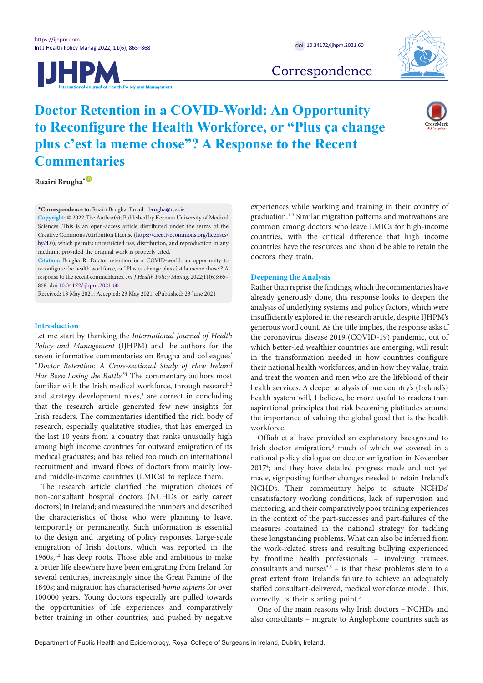



Correspondence

# **Doctor Retention in a COVID-World: An Opportunity to Reconfigure the Health Workforce, or "Plus ça change plus c'est la meme chose"? A Response to the Recent Commentaries**

**Ruairí Brugha<sup>[\\*](#page-0-0)</sub>**</sup>

<span id="page-0-0"></span>**\*Correspondence to:** Ruairí Brugha, Email: rbrugha@rcsi.ie

**Copyright:** © 2022 The Author(s); Published by Kerman University of Medical Sciences. This is an open-access article distributed under the terms of the Creative Commons Attribution License ([https://creativecommons.org/licenses/](https://creativecommons.org/licenses/by/4.0) [by/4.0](https://creativecommons.org/licenses/by/4.0)), which permits unrestricted use, distribution, and reproduction in any medium, provided the original work is properly cited.

**Citation:** Brugha R. Doctor retention in a COVID-world: an opportunity to reconfigure the health workforce, or "Plus ça change plus c'est la meme chose"? A response to the recent commentaries. *Int J Health Policy Manag.* 2022;11(6):865– 868. doi[:10.34172/ijhpm.2021.60](https://doi.org/10.34172/ijhpm.2021.60 )

Received: 13 May 2021; Accepted: 23 May 2021; ePublished: 23 June 2021

## **Introduction**

Let me start by thanking the *International Journal of Health Policy and Management* (IJHPM) and the authors for the seven informative commentaries on Brugha and colleagues' "*Doctor Retention: A Cross-sectional Study of How Ireland Has Been Losing the Battle."*<sup>1</sup> The commentary authors most familiar with the Irish medical workforce, through research<sup>2</sup> and strategy development roles,<sup>3</sup> are correct in concluding that the research article generated few new insights for Irish readers. The commentaries identified the rich body of research, especially qualitative studies, that has emerged in the last 10 years from a country that ranks unusually high among high income countries for outward emigration of its medical graduates; and has relied too much on international recruitment and inward flows of doctors from mainly lowand middle-income countries (LMICs) to replace them.

The research article clarified the migration choices of non-consultant hospital doctors (NCHDs or early career doctors) in Ireland; and measured the numbers and described the characteristics of those who were planning to leave, temporarily or permanently. Such information is essential to the design and targeting of policy responses. Large-scale emigration of Irish doctors, which was reported in the 1960s,1,2 has deep roots. Those able and ambitious to make a better life elsewhere have been emigrating from Ireland for several centuries, increasingly since the Great Famine of the 1840s; and migration has characterised *homo sapiens* for over 100 000 years. Young doctors especially are pulled towards the opportunities of life experiences and comparatively better training in other countries; and pushed by negative experiences while working and training in their country of graduation.1-3 Similar migration patterns and motivations are common among doctors who leave LMICs for high-income countries, with the critical difference that high income countries have the resources and should be able to retain the doctors they train.

## **Deepening the Analysis**

Rather than reprise the findings, which the commentaries have already generously done, this response looks to deepen the analysis of underlying systems and policy factors, which were insufficiently explored in the research article, despite IJHPM's generous word count. As the title implies, the response asks if the coronavirus disease 2019 (COVID-19) pandemic, out of which better-led wealthier countries are emerging, will result in the transformation needed in how countries configure their national health workforces; and in how they value, train and treat the women and men who are the lifeblood of their health services. A deeper analysis of one country's (Ireland's) health system will, I believe, be more useful to readers than aspirational principles that risk becoming platitudes around the importance of valuing the global good that is the health workforce.

Offiah et al have provided an explanatory background to Irish doctor emigration,<sup>3</sup> much of which we covered in a national policy dialogue on doctor emigration in November 20174 ; and they have detailed progress made and not yet made, signposting further changes needed to retain Ireland's NCHDs. Their commentary helps to situate NCHDs' unsatisfactory working conditions, lack of supervision and mentoring, and their comparatively poor training experiences in the context of the part-successes and part-failures of the measures contained in the national strategy for tackling these longstanding problems. What can also be inferred from the work-related stress and resulting bullying experienced by frontline health professionals – involving trainees, consultants and nurses<sup>5,6</sup> – is that these problems stem to a great extent from Ireland's failure to achieve an adequately staffed consultant-delivered, medical workforce model. This, correctly, is their starting point.<sup>3</sup>

One of the main reasons why Irish doctors – NCHDs and also consultants – migrate to Anglophone countries such as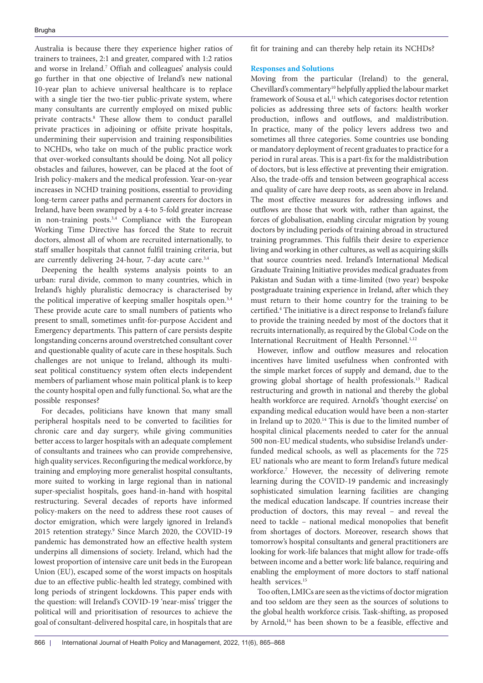Australia is because there they experience higher ratios of trainers to trainees, 2:1 and greater, compared with 1:2 ratios and worse in Ireland.<sup>7</sup> Offiah and colleagues' analysis could go further in that one objective of Ireland's new national 10-year plan to achieve universal healthcare is to replace with a single tier the two-tier public-private system, where many consultants are currently employed on mixed public private contracts.8 These allow them to conduct parallel private practices in adjoining or offsite private hospitals, undermining their supervision and training responsibilities to NCHDs, who take on much of the public practice work that over-worked consultants should be doing. Not all policy obstacles and failures, however, can be placed at the foot of Irish policy-makers and the medical profession. Year-on-year increases in NCHD training positions, essential to providing long-term career paths and permanent careers for doctors in Ireland, have been swamped by a 4-to 5-fold greater increase in non-training posts.<sup>3,4</sup> Compliance with the European Working Time Directive has forced the State to recruit doctors, almost all of whom are recruited internationally, to staff smaller hospitals that cannot fulfil training criteria, but are currently delivering 24-hour, 7-day acute care.<sup>3,4</sup>

Deepening the health systems analysis points to an urban: rural divide, common to many countries, which in Ireland's highly pluralistic democracy is characterised by the political imperative of keeping smaller hospitals open. $3,4$ These provide acute care to small numbers of patients who present to small, sometimes unfit-for-purpose Accident and Emergency departments. This pattern of care persists despite longstanding concerns around overstretched consultant cover and questionable quality of acute care in these hospitals. Such challenges are not unique to Ireland, although its multiseat political constituency system often elects independent members of parliament whose main political plank is to keep the county hospital open and fully functional. So, what are the possible responses?

For decades, politicians have known that many small peripheral hospitals need to be converted to facilities for chronic care and day surgery, while giving communities better access to larger hospitals with an adequate complement of consultants and trainees who can provide comprehensive, high quality services. Reconfiguring the medical workforce, by training and employing more generalist hospital consultants, more suited to working in large regional than in national super-specialist hospitals, goes hand-in-hand with hospital restructuring. Several decades of reports have informed policy-makers on the need to address these root causes of doctor emigration, which were largely ignored in Ireland's 2015 retention strategy.9 Since March 2020, the COVID-19 pandemic has demonstrated how an effective health system underpins all dimensions of society. Ireland, which had the lowest proportion of intensive care unit beds in the European Union (EU), escaped some of the worst impacts on hospitals due to an effective public-health led strategy, combined with long periods of stringent lockdowns. This paper ends with the question: will Ireland's COVID-19 'near-miss' trigger the political will and prioritisation of resources to achieve the goal of consultant-delivered hospital care, in hospitals that are fit for training and can thereby help retain its NCHDs?

## **Responses and Solutions**

Moving from the particular (Ireland) to the general, Chevillard's commentary<sup>10</sup> helpfully applied the labour market framework of Sousa et al,<sup>11</sup> which categorises doctor retention policies as addressing three sets of factors: health worker production, inflows and outflows, and maldistribution. In practice, many of the policy levers address two and sometimes all three categories. Some countries use bonding or mandatory deployment of recent graduates to practice for a period in rural areas. This is a part-fix for the maldistribution of doctors, but is less effective at preventing their emigration. Also, the trade-offs and tension between geographical access and quality of care have deep roots, as seen above in Ireland. The most effective measures for addressing inflows and outflows are those that work with, rather than against, the forces of globalisation, enabling circular migration by young doctors by including periods of training abroad in structured training programmes. This fulfils their desire to experience living and working in other cultures, as well as acquiring skills that source countries need. Ireland's International Medical Graduate Training Initiative provides medical graduates from Pakistan and Sudan with a time-limited (two year) bespoke postgraduate training experience in Ireland, after which they must return to their home country for the training to be certified.4 The initiative is a direct response to Ireland's failure to provide the training needed by most of the doctors that it recruits internationally, as required by the Global Code on the International Recruitment of Health Personnel.<sup>1,12</sup>

However, inflow and outflow measures and relocation incentives have limited usefulness when confronted with the simple market forces of supply and demand, due to the growing global shortage of health professionals.13 Radical restructuring and growth in national and thereby the global health workforce are required. Arnold's 'thought exercise' on expanding medical education would have been a non-starter in Ireland up to 2020.14 This is due to the limited number of hospital clinical placements needed to cater for the annual 500 non-EU medical students, who subsidise Ireland's underfunded medical schools, as well as placements for the 725 EU nationals who are meant to form Ireland's future medical workforce.7 However, the necessity of delivering remote learning during the COVID-19 pandemic and increasingly sophisticated simulation learning facilities are changing the medical education landscape. If countries increase their production of doctors, this may reveal – and reveal the need to tackle – national medical monopolies that benefit from shortages of doctors. Moreover, research shows that tomorrow's hospital consultants and general practitioners are looking for work-life balances that might allow for trade-offs between income and a better work: life balance, requiring and enabling the employment of more doctors to staff national health services.<sup>15</sup>

Too often, LMICs are seen as the victims of doctor migration and too seldom are they seen as the sources of solutions to the global health workforce crisis. Task-shifting, as proposed by Arnold,<sup>14</sup> has been shown to be a feasible, effective and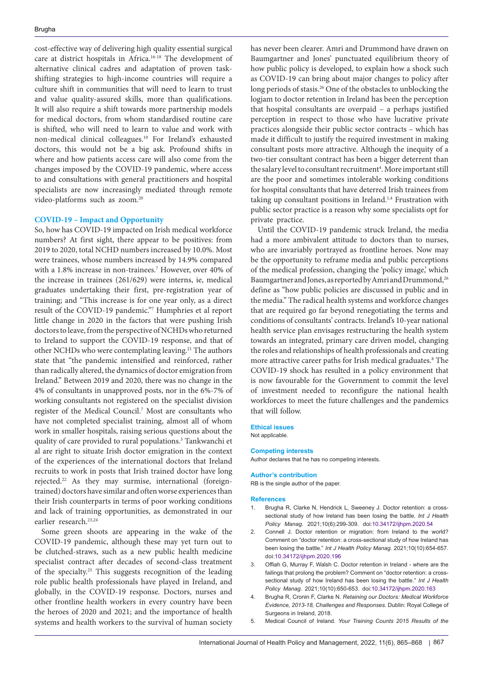cost-effective way of delivering high quality essential surgical care at district hospitals in Africa.16-18 The development of alternative clinical cadres and adaptation of proven taskshifting strategies to high-income countries will require a culture shift in communities that will need to learn to trust and value quality-assured skills, more than qualifications. It will also require a shift towards more partnership models for medical doctors, from whom standardised routine care is shifted, who will need to learn to value and work with non-medical clinical colleagues.19 For Ireland's exhausted doctors, this would not be a big ask. Profound shifts in where and how patients access care will also come from the changes imposed by the COVID-19 pandemic, where access to and consultations with general practitioners and hospital specialists are now increasingly mediated through remote video-platforms such as zoom.<sup>20</sup>

## **COVID-19 – Impact and Opportunity**

So, how has COVID-19 impacted on Irish medical workforce numbers? At first sight, there appear to be positives: from 2019 to 2020, total NCHD numbers increased by 10.0%. Most were trainees, whose numbers increased by 14.9% compared with a 1.8% increase in non-trainees.<sup>7</sup> However, over 40% of the increase in trainees (261/629) were interns, ie, medical graduates undertaking their first, pre-registration year of training; and "This increase is for one year only, as a direct result of the COVID-19 pandemic."7 Humphries et al report little change in 2020 in the factors that were pushing Irish doctors to leave, from the perspective of NCHDs who returned to Ireland to support the COVID-19 response, and that of other NCHDs who were contemplating leaving.<sup>21</sup> The authors state that "the pandemic intensified and reinforced, rather than radically altered, the dynamics of doctor emigration from Ireland." Between 2019 and 2020, there was no change in the 4% of consultants in unapproved posts, nor in the 6%-7% of working consultants not registered on the specialist division register of the Medical Council.7 Most are consultants who have not completed specialist training, almost all of whom work in smaller hospitals, raising serious questions about the quality of care provided to rural populations.<sup>3</sup> Tankwanchi et al are right to situate Irish doctor emigration in the context of the experiences of the international doctors that Ireland recruits to work in posts that Irish trained doctor have long rejected.22 As they may surmise, international (foreigntrained) doctors have similar and often worse experiences than their Irish counterparts in terms of poor working conditions and lack of training opportunities, as demonstrated in our earlier research.<sup>23,24</sup>

Some green shoots are appearing in the wake of the COVID-19 pandemic, although these may yet turn out to be clutched-straws, such as a new public health medicine specialist contract after decades of second-class treatment of the specialty.25 This suggests recognition of the leading role public health professionals have played in Ireland, and globally, in the COVID-19 response. Doctors, nurses and other frontline health workers in every country have been the heroes of 2020 and 2021; and the importance of health systems and health workers to the survival of human society has never been clearer. Amri and Drummond have drawn on Baumgartner and Jones' punctuated equilibrium theory of how public policy is developed, to explain how a shock such as COVID-19 can bring about major changes to policy after long periods of stasis.<sup>26</sup> One of the obstacles to unblocking the logjam to doctor retention in Ireland has been the perception that hospital consultants are overpaid – a perhaps justified perception in respect to those who have lucrative private practices alongside their public sector contracts – which has made it difficult to justify the required investment in making consultant posts more attractive. Although the inequity of a two-tier consultant contract has been a bigger deterrent than the salary level to consultant recruitment<sup>4</sup>. More important still are the poor and sometimes intolerable working conditions for hospital consultants that have deterred Irish trainees from taking up consultant positions in Ireland.<sup>1,4</sup> Frustration with public sector practice is a reason why some specialists opt for private practice.

Until the COVID-19 pandemic struck Ireland, the media had a more ambivalent attitude to doctors than to nurses, who are invariably portrayed as frontline heroes. Now may be the opportunity to reframe media and public perceptions of the medical profession, changing the 'policy image,' which Baumgartner and Jones, as reported by Amri and Drummond,<sup>26</sup> define as "how public policies are discussed in public and in the media." The radical health systems and workforce changes that are required go far beyond renegotiating the terms and conditions of consultants' contracts. Ireland's 10-year national health service plan envisages restructuring the health system towards an integrated, primary care driven model, changing the roles and relationships of health professionals and creating more attractive career paths for Irish medical graduates.<sup>8</sup> The COVID-19 shock has resulted in a policy environment that is now favourable for the Government to commit the level of investment needed to reconfigure the national health workforces to meet the future challenges and the pandemics that will follow.

#### **Ethical issues**

Not applicable.

#### **Competing interests**

Author declares that he has no competing interests.

#### **Author's contribution**

RB is the single author of the paper.

#### **References**

- Brugha R, Clarke N, Hendrick L, Sweeney J. Doctor retention: a crosssectional study of how Ireland has been losing the battle. *Int J Health Policy Manag*. 2021;10(6):299-309. doi:[10.34172/ijhpm.2020.54](https://doi.org/10.34172/ijhpm.2020.54)
- 2. Connell J. Doctor retention or migration: from Ireland to the world? Comment on "doctor retention: a cross-sectional study of how Ireland has been losing the battle." *Int J Health Policy Manag*. 2021;10(10):654-657. doi:[10.34172/ijhpm.2020.196](https://doi.org/10.34172/ijhpm.2020.196)
- 3. Offiah G, Murray F, Walsh C. Doctor retention in Ireland where are the failings that prolong the problem? Comment on "doctor retention: a crosssectional study of how Ireland has been losing the battle." *Int J Health Policy Manag*. 2021;10(10):650-653. doi[:10.34172/ijhpm.2020.163](https://doi.org/10.34172/ijhpm.2020.163)
- 4. Brugha R, Cronin F, Clarke N. *Retaining our Doctors: Medical Workforce Evidence, 2013-18, Challenges and Responses*. Dublin: Royal College of Surgeons in Ireland, 2018.
- 5. Medical Council of Ireland. *Your Training Counts 2015 Results of the*